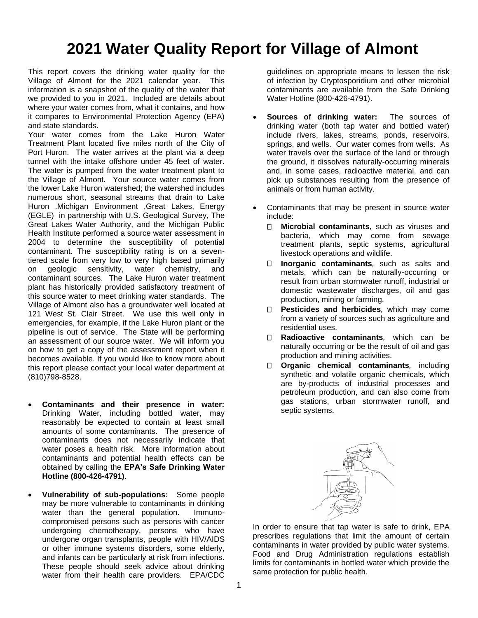# **2021 Water Quality Report for Village of Almont**

This report covers the drinking water quality for the Village of Almont for the 2021 calendar year. This information is a snapshot of the quality of the water that we provided to you in 2021. Included are details about where your water comes from, what it contains, and how it compares to Environmental Protection Agency (EPA) and state standards.

Your water comes from the Lake Huron Water Treatment Plant located five miles north of the City of Port Huron. The water arrives at the plant via a deep tunnel with the intake offshore under 45 feet of water. The water is pumped from the water treatment plant to the Village of Almont. Your source water comes from the lower Lake Huron watershed; the watershed includes numerous short, seasonal streams that drain to Lake Huron .Michigan Environment ,Great Lakes, Energy (EGLE) in partnership with U.S. Geological Survey, The Great Lakes Water Authority, and the Michigan Public Health Institute performed a source water assessment in 2004 to determine the susceptibility of potential contaminant. The susceptibility rating is on a seventiered scale from very low to very high based primarily on geologic sensitivity, water chemistry, and contaminant sources. The Lake Huron water treatment plant has historically provided satisfactory treatment of this source water to meet drinking water standards. The Village of Almont also has a groundwater well located at 121 West St. Clair Street. We use this well only in emergencies, for example, if the Lake Huron plant or the pipeline is out of service. The State will be performing an assessment of our source water. We will inform you on how to get a copy of the assessment report when it becomes available. If you would like to know more about this report please contact your local water department at (810)798-8528.

- **Contaminants and their presence in water:**  Drinking Water, including bottled water, may reasonably be expected to contain at least small amounts of some contaminants. The presence of contaminants does not necessarily indicate that water poses a health risk. More information about contaminants and potential health effects can be obtained by calling the **EPA's Safe Drinking Water Hotline (800-426-4791)**.
- **Vulnerability of sub-populations:** Some people may be more vulnerable to contaminants in drinking water than the general population. Immunocompromised persons such as persons with cancer undergoing chemotherapy, persons who have undergone organ transplants, people with HIV/AIDS or other immune systems disorders, some elderly, and infants can be particularly at risk from infections. These people should seek advice about drinking water from their health care providers. EPA/CDC

guidelines on appropriate means to lessen the risk of infection by Cryptosporidium and other microbial contaminants are available from the Safe Drinking Water Hotline (800-426-4791).

- **Sources of drinking water:** The sources of drinking water (both tap water and bottled water) include rivers, lakes, streams, ponds, reservoirs, springs, and wells. Our water comes from wells. As water travels over the surface of the land or through the ground, it dissolves naturally-occurring minerals and, in some cases, radioactive material, and can pick up substances resulting from the presence of animals or from human activity.
- Contaminants that may be present in source water include:
	- $\Box$ **Microbial contaminants***,* such as viruses and bacteria, which may come from sewage treatment plants, septic systems, agricultural livestock operations and wildlife.
	- $\Box$ **Inorganic contaminants***,* such as salts and metals, which can be naturally-occurring or result from urban stormwater runoff, industrial or domestic wastewater discharges, oil and gas production, mining or farming.
	- **Pesticides and herbicides***,* which may come from a variety of sources such as agriculture and residential uses.
	- **Radioactive contaminants***,* which can be  $\Box$ naturally occurring or be the result of oil and gas production and mining activities.
	- **Organic chemical contaminants***,* including synthetic and volatile organic chemicals, which are by-products of industrial processes and petroleum production, and can also come from gas stations, urban stormwater runoff, and septic systems.



In order to ensure that tap water is safe to drink, EPA prescribes regulations that limit the amount of certain contaminants in water provided by public water systems. Food and Drug Administration regulations establish limits for contaminants in bottled water which provide the same protection for public health.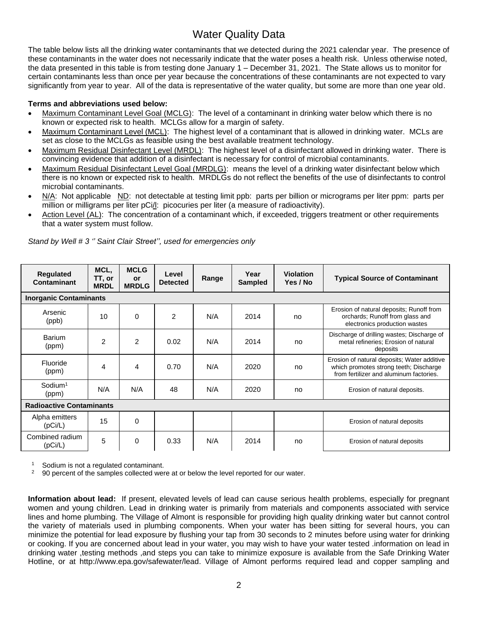### Water Quality Data

The table below lists all the drinking water contaminants that we detected during the 2021 calendar year. The presence of these contaminants in the water does not necessarily indicate that the water poses a health risk. Unless otherwise noted, the data presented in this table is from testing done January 1 – December 31, 2021. The State allows us to monitor for certain contaminants less than once per year because the concentrations of these contaminants are not expected to vary significantly from year to year. All of the data is representative of the water quality, but some are more than one year old.

#### **Terms and abbreviations used below:**

- Maximum Contaminant Level Goal (MCLG): The level of a contaminant in drinking water below which there is no known or expected risk to health. MCLGs allow for a margin of safety.
- Maximum Contaminant Level (MCL): The highest level of a contaminant that is allowed in drinking water. MCLs are set as close to the MCLGs as feasible using the best available treatment technology.
- Maximum Residual Disinfectant Level (MRDL): The highest level of a disinfectant allowed in drinking water. There is convincing evidence that addition of a disinfectant is necessary for control of microbial contaminants.
- Maximum Residual Disinfectant Level Goal (MRDLG): means the level of a drinking water disinfectant below which there is no known or expected risk to health. MRDLGs do not reflect the benefits of the use of disinfectants to control microbial contaminants.
- N/A: Not applicable ND: not detectable at testing limit ppb: parts per billion or micrograms per liter ppm: parts per million or milligrams per liter pCi/l: picocuries per liter (a measure of radioactivity).
- Action Level (AL): The concentration of a contaminant which, if exceeded, triggers treatment or other requirements that a water system must follow.

| Regulated<br>Contaminant        | MCL,<br>TT, or<br><b>MRDL</b> | <b>MCLG</b><br><b>or</b><br><b>MRDLG</b> | Level<br><b>Detected</b> | Range | Year<br><b>Sampled</b> | <b>Violation</b><br>Yes / No | <b>Typical Source of Contaminant</b>                                                                                             |
|---------------------------------|-------------------------------|------------------------------------------|--------------------------|-------|------------------------|------------------------------|----------------------------------------------------------------------------------------------------------------------------------|
| <b>Inorganic Contaminants</b>   |                               |                                          |                          |       |                        |                              |                                                                                                                                  |
| Arsenic<br>(ppb)                | 10                            | $\Omega$                                 | $\overline{2}$           | N/A   | 2014                   | no                           | Erosion of natural deposits; Runoff from<br>orchards; Runoff from glass and<br>electronics production wastes                     |
| Barium<br>(ppm)                 | $\overline{2}$                | $\overline{2}$                           | 0.02                     | N/A   | 2014                   | no                           | Discharge of drilling wastes; Discharge of<br>metal refineries; Erosion of natural<br>deposits                                   |
| Fluoride<br>(ppm)               | 4                             | 4                                        | 0.70                     | N/A   | 2020                   | no                           | Erosion of natural deposits; Water additive<br>which promotes strong teeth; Discharge<br>from fertilizer and aluminum factories. |
| $S$ odium <sup>1</sup><br>(ppm) | N/A                           | N/A                                      | 48                       | N/A   | 2020                   | no                           | Erosion of natural deposits.                                                                                                     |
| <b>Radioactive Contaminants</b> |                               |                                          |                          |       |                        |                              |                                                                                                                                  |
| Alpha emitters<br>(pCi/L)       | 15                            | $\Omega$                                 |                          |       |                        |                              | Erosion of natural deposits                                                                                                      |
| Combined radium<br>(pCi/L)      | 5                             | 0                                        | 0.33                     | N/A   | 2014                   | no                           | Erosion of natural deposits                                                                                                      |

*Stand by Well # 3 '' Saint Clair Street'', used for emergencies only*

 $\frac{1}{2}$  Sodium is not a regulated contaminant.

<sup>2</sup> 90 percent of the samples collected were at or below the level reported for our water.

**Information about lead:** If present, elevated levels of lead can cause serious health problems, especially for pregnant women and young children. Lead in drinking water is primarily from materials and components associated with service lines and home plumbing. The Village of Almont is responsible for providing high quality drinking water but cannot control the variety of materials used in plumbing components. When your water has been sitting for several hours, you can minimize the potential for lead exposure by flushing your tap from 30 seconds to 2 minutes before using water for drinking or cooking. If you are concerned about lead in your water, you may wish to have your water tested .information on lead in drinking water ,testing methods ,and steps you can take to minimize exposure is available from the Safe Drinking Water Hotline, or at http://www.epa.gov/safewater/lead. Village of Almont performs required lead and copper sampling and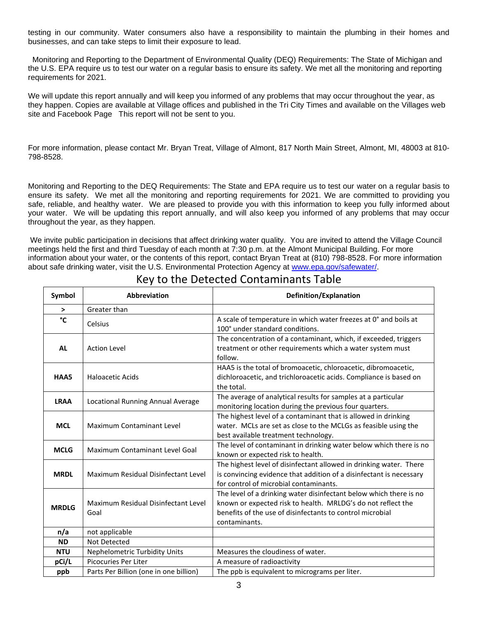testing in our community. Water consumers also have a responsibility to maintain the plumbing in their homes and businesses, and can take steps to limit their exposure to lead.

Monitoring and Reporting to the Department of Environmental Quality (DEQ) Requirements: The State of Michigan and the U.S. EPA require us to test our water on a regular basis to ensure its safety. We met all the monitoring and reporting requirements for 2021.

We will update this report annually and will keep you informed of any problems that may occur throughout the year, as they happen. Copies are available at Village offices and published in the Tri City Times and available on the Villages web site and Facebook Page This report will not be sent to you.

For more information, please contact Mr. Bryan Treat, Village of Almont, 817 North Main Street, Almont, MI, 48003 at 810- 798-8528.

Monitoring and Reporting to the DEQ Requirements: The State and EPA require us to test our water on a regular basis to ensure its safety. We met all the monitoring and reporting requirements for 2021. We are committed to providing you safe, reliable, and healthy water. We are pleased to provide you with this information to keep you fully informed about your water. We will be updating this report annually, and will also keep you informed of any problems that may occur throughout the year, as they happen.

We invite public participation in decisions that affect drinking water quality. You are invited to attend the Village Council meetings held the first and third Tuesday of each month at 7:30 p.m. at the Almont Municipal Building. For more information about your water, or the contents of this report, contact Bryan Treat at (810) 798-8528. For more information about safe drinking water, visit the U.S. Environmental Protection Agency at [www.epa.gov/safewater/.](http://www.epa.gov/safewater/)

| Symbol       | <b>Abbreviation</b>                         | Definition/Explanation                                                                                                                                                                                           |
|--------------|---------------------------------------------|------------------------------------------------------------------------------------------------------------------------------------------------------------------------------------------------------------------|
| >            | Greater than                                |                                                                                                                                                                                                                  |
| °C           | Celsius                                     | A scale of temperature in which water freezes at 0° and boils at<br>100° under standard conditions.                                                                                                              |
| <b>AL</b>    | <b>Action Level</b>                         | The concentration of a contaminant, which, if exceeded, triggers<br>treatment or other requirements which a water system must<br>follow.                                                                         |
| HAA5         | Haloacetic Acids                            | HAA5 is the total of bromoacetic, chloroacetic, dibromoacetic,<br>dichloroacetic, and trichloroacetic acids. Compliance is based on<br>the total.                                                                |
| <b>LRAA</b>  | Locational Running Annual Average           | The average of analytical results for samples at a particular<br>monitoring location during the previous four quarters.                                                                                          |
| <b>MCL</b>   | <b>Maximum Contaminant Level</b>            | The highest level of a contaminant that is allowed in drinking<br>water. MCLs are set as close to the MCLGs as feasible using the<br>best available treatment technology.                                        |
| <b>MCLG</b>  | Maximum Contaminant Level Goal              | The level of contaminant in drinking water below which there is no<br>known or expected risk to health.                                                                                                          |
| <b>MRDL</b>  | Maximum Residual Disinfectant Level         | The highest level of disinfectant allowed in drinking water. There<br>is convincing evidence that addition of a disinfectant is necessary<br>for control of microbial contaminants.                              |
| <b>MRDLG</b> | Maximum Residual Disinfectant Level<br>Goal | The level of a drinking water disinfectant below which there is no<br>known or expected risk to health. MRLDG's do not reflect the<br>benefits of the use of disinfectants to control microbial<br>contaminants. |
| n/a          | not applicable                              |                                                                                                                                                                                                                  |
| <b>ND</b>    | Not Detected                                |                                                                                                                                                                                                                  |
| <b>NTU</b>   | Nephelometric Turbidity Units               | Measures the cloudiness of water.                                                                                                                                                                                |
| pCi/L        | Picocuries Per Liter                        | A measure of radioactivity                                                                                                                                                                                       |
| ppb          | Parts Per Billion (one in one billion)      | The ppb is equivalent to micrograms per liter.                                                                                                                                                                   |

### Key to the Detected Contaminants Table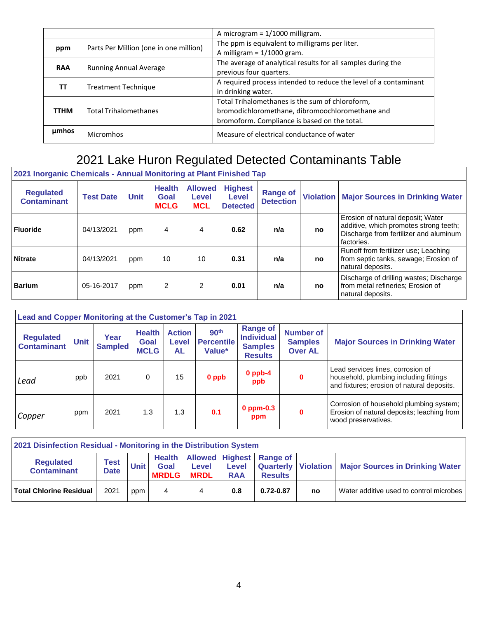|             |                                        | A microgram = $1/1000$ milligram.                                                                                                                  |
|-------------|----------------------------------------|----------------------------------------------------------------------------------------------------------------------------------------------------|
| ppm         | Parts Per Million (one in one million) | The ppm is equivalent to milligrams per liter.<br>A milligram = $1/1000$ gram.                                                                     |
| <b>RAA</b>  | <b>Running Annual Average</b>          | The average of analytical results for all samples during the<br>previous four quarters.                                                            |
| TΤ          | <b>Treatment Technique</b>             | A required process intended to reduce the level of a contaminant<br>in drinking water.                                                             |
| <b>TTHM</b> | <b>Total Trihalomethanes</b>           | Total Trihalomethanes is the sum of chloroform,<br>bromodichloromethane, dibromoochloromethane and<br>bromoform. Compliance is based on the total. |
| umhos       | Micromhos                              | Measure of electrical conductance of water                                                                                                         |

## 2021 Lake Huron Regulated Detected Contaminants Table

| <u>ZUZT INURGINU UNGHIRAIS - ANNUAL MUNICULITY ALT IANLI INISHGU TAP</u> |                  |             |                                      |                                       |                                            |                                     |                  |                                                                                                                                     |  |  |  |
|--------------------------------------------------------------------------|------------------|-------------|--------------------------------------|---------------------------------------|--------------------------------------------|-------------------------------------|------------------|-------------------------------------------------------------------------------------------------------------------------------------|--|--|--|
| <b>Regulated</b><br><b>Contaminant</b>                                   | <b>Test Date</b> | <b>Unit</b> | <b>Health</b><br>Goal<br><b>MCLG</b> | <b>Allowed</b><br>Level<br><b>MCL</b> | <b>Highest</b><br>Level<br><b>Detected</b> | <b>Range of</b><br><b>Detection</b> | <b>Violation</b> | <b>Major Sources in Drinking Water</b>                                                                                              |  |  |  |
| <b>Fluoride</b>                                                          | 04/13/2021       | ppm         | 4                                    | 4                                     | 0.62                                       | n/a                                 | no               | Erosion of natural deposit; Water<br>additive, which promotes strong teeth;<br>Discharge from fertilizer and aluminum<br>factories. |  |  |  |
| <b>Nitrate</b>                                                           | 04/13/2021       | ppm         | 10                                   | 10                                    | 0.31                                       | n/a                                 | no               | Runoff from fertilizer use; Leaching<br>from septic tanks, sewage; Erosion of<br>natural deposits.                                  |  |  |  |
| <b>Barium</b>                                                            | 05-16-2017       | ppm         | 2                                    | $\overline{2}$                        | 0.01                                       | n/a                                 | no               | Discharge of drilling wastes; Discharge<br>from metal refineries; Erosion of<br>natural deposits.                                   |  |  |  |

| Lead and Copper Monitoring at the Customer's Tap in 2021 |             |                        |                                      |                                     |                                                 |                                                                          |                                                      |                                                                                                                           |  |  |  |
|----------------------------------------------------------|-------------|------------------------|--------------------------------------|-------------------------------------|-------------------------------------------------|--------------------------------------------------------------------------|------------------------------------------------------|---------------------------------------------------------------------------------------------------------------------------|--|--|--|
| <b>Regulated</b><br><b>Contaminant</b>                   | <b>Unit</b> | Year<br><b>Sampled</b> | <b>Health</b><br>Goal<br><b>MCLG</b> | <b>Action</b><br><b>Level</b><br>AL | 90 <sup>th</sup><br><b>Percentile</b><br>Value* | <b>Range of</b><br><b>Individual</b><br><b>Samples</b><br><b>Results</b> | <b>Number of</b><br><b>Samples</b><br><b>Over AL</b> | <b>Major Sources in Drinking Water</b>                                                                                    |  |  |  |
| Lead                                                     | ppb         | 2021                   | 0                                    | 15                                  | 0 ppb                                           | $0$ ppb-4<br>ppb                                                         | 0                                                    | Lead services lines, corrosion of<br>household, plumbing including fittings<br>and fixtures; erosion of natural deposits. |  |  |  |
| Copper                                                   | ppm         | 2021                   | 1.3                                  | 1.3                                 | 0.1                                             | $0$ ppm- $0.3$<br>ppm                                                    | 0                                                    | Corrosion of household plumbing system;<br>Erosion of natural deposits; leaching from<br>wood preservatives.              |  |  |  |

| 2021 Disinfection Residual - Monitoring in the Distribution System |                            |      |                                       |                             |                     |                                                   |    |                                                         |  |  |  |
|--------------------------------------------------------------------|----------------------------|------|---------------------------------------|-----------------------------|---------------------|---------------------------------------------------|----|---------------------------------------------------------|--|--|--|
| <b>Regulated</b><br><b>Contaminant</b>                             | <b>Test</b><br><b>Date</b> | Unit | <b>Health</b><br>Goal<br><b>MRDLG</b> | <b>Level</b><br><b>MRDL</b> | Level<br><b>RAA</b> | <b>Allowed Highest Range of</b><br><b>Results</b> |    | Quarterly   Violation   Major Sources in Drinking Water |  |  |  |
| <b>Total Chlorine Residual</b>                                     | 2021                       | ppm  | 4                                     |                             | 0.8                 | $0.72 - 0.87$                                     | no | Water additive used to control microbes                 |  |  |  |

#### **2021 Inorganic Chemicals - Annual Monitoring at Plant Finished Tap**